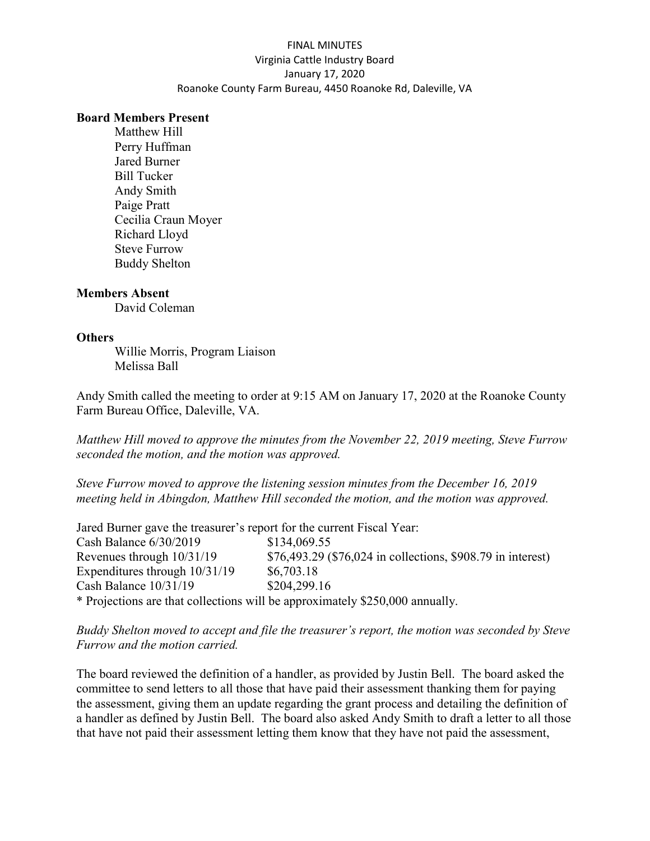## FINAL MINUTES Virginia Cattle Industry Board January 17, 2020 Roanoke County Farm Bureau, 4450 Roanoke Rd, Daleville, VA

#### Board Members Present

 Matthew Hill Perry Huffman Jared Burner Bill Tucker Andy Smith Paige Pratt Cecilia Craun Moyer Richard Lloyd Steve Furrow Buddy Shelton

### Members Absent

David Coleman

#### **Others**

Willie Morris, Program Liaison Melissa Ball

Andy Smith called the meeting to order at 9:15 AM on January 17, 2020 at the Roanoke County Farm Bureau Office, Daleville, VA.

Matthew Hill moved to approve the minutes from the November 22, 2019 meeting, Steve Furrow seconded the motion, and the motion was approved.

Steve Furrow moved to approve the listening session minutes from the December 16, 2019 meeting held in Abingdon, Matthew Hill seconded the motion, and the motion was approved.

Jared Burner gave the treasurer's report for the current Fiscal Year: Cash Balance 6/30/2019 \$134,069.55 Revenues through 10/31/19 \$76,493.29 (\$76,024 in collections, \$908.79 in interest) Expenditures through  $10/31/19$  \$6,703.18 Cash Balance 10/31/19 \$204,299.16 \* Projections are that collections will be approximately \$250,000 annually.

Buddy Shelton moved to accept and file the treasurer's report, the motion was seconded by Steve Furrow and the motion carried.

The board reviewed the definition of a handler, as provided by Justin Bell. The board asked the committee to send letters to all those that have paid their assessment thanking them for paying the assessment, giving them an update regarding the grant process and detailing the definition of a handler as defined by Justin Bell. The board also asked Andy Smith to draft a letter to all those that have not paid their assessment letting them know that they have not paid the assessment,